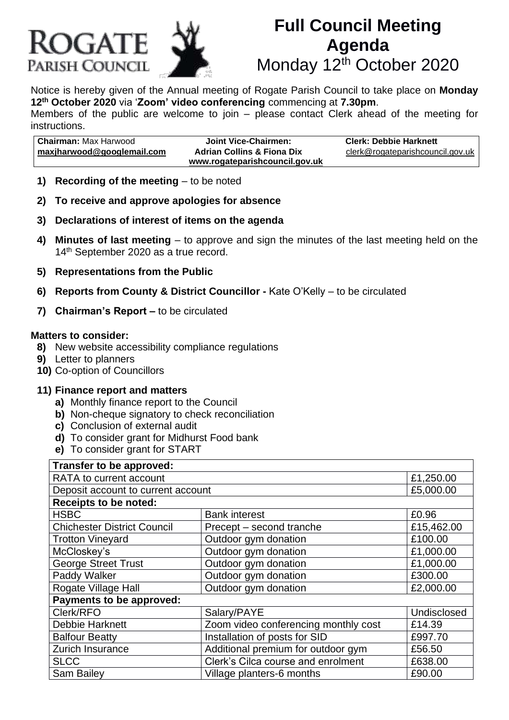

# **Full Council Meeting Agenda** Monday 12<sup>th</sup> October 2020

Notice is hereby given of the Annual meeting of Rogate Parish Council to take place on **Monday 12th October 2020** via '**Zoom' video conferencing** commencing at **7.30pm**. Members of the public are welcome to join – please contact Clerk ahead of the meeting for instructions.

| l <b>Chairman:</b> Max Harwood    | Joint Vice-Chairmen:                  | <b>Clerk: Debbie Harknett</b>    |
|-----------------------------------|---------------------------------------|----------------------------------|
| <u>maxjharwood@googlemail.com</u> | <b>Adrian Collins &amp; Fiona Dix</b> | clerk@rogateparishcouncil.gov.uk |
|                                   | www.rogateparishcouncil.gov.uk        |                                  |

- **1) Recording of the meeting** to be noted
- **2) To receive and approve apologies for absence**
- **3) Declarations of interest of items on the agenda**
- **4) Minutes of last meeting** to approve and sign the minutes of the last meeting held on the 14<sup>th</sup> September 2020 as a true record.
- **5) Representations from the Public**
- **6) Reports from County & District Councillor -** Kate O'Kelly to be circulated
- **7) Chairman's Report –** to be circulated

#### **Matters to consider:**

- **8)** New website accessibility compliance regulations
- **9)** Letter to planners
- **10)** Co-option of Councillors

#### **11) Finance report and matters**

- **a)** Monthly finance report to the Council
- **b)** Non-cheque signatory to check reconciliation
- **c)** Conclusion of external audit
- **d)** To consider grant for Midhurst Food bank
- **e)** To consider grant for START

| Transfer to be approved:           |                                      |             |  |  |
|------------------------------------|--------------------------------------|-------------|--|--|
| RATA to current account            |                                      | £1,250.00   |  |  |
| Deposit account to current account |                                      | £5,000.00   |  |  |
| <b>Receipts to be noted:</b>       |                                      |             |  |  |
| <b>HSBC</b>                        | <b>Bank interest</b>                 | £0.96       |  |  |
| <b>Chichester District Council</b> | Precept – second tranche             | £15,462.00  |  |  |
| <b>Trotton Vineyard</b>            | Outdoor gym donation                 | £100.00     |  |  |
| McCloskey's                        | Outdoor gym donation                 | £1,000.00   |  |  |
| <b>George Street Trust</b>         | Outdoor gym donation                 | £1,000.00   |  |  |
| Paddy Walker                       | Outdoor gym donation                 | £300.00     |  |  |
| Rogate Village Hall                | Outdoor gym donation                 | £2,000.00   |  |  |
| Payments to be approved:           |                                      |             |  |  |
| Clerk/RFO                          | Salary/PAYE                          | Undisclosed |  |  |
| <b>Debbie Harknett</b>             | Zoom video conferencing monthly cost | £14.39      |  |  |
| <b>Balfour Beatty</b>              | Installation of posts for SID        | £997.70     |  |  |
| Zurich Insurance                   | Additional premium for outdoor gym   | £56.50      |  |  |
| <b>SLCC</b>                        | Clerk's Cilca course and enrolment   | £638.00     |  |  |
| <b>Sam Bailey</b>                  | Village planters-6 months            | £90.00      |  |  |